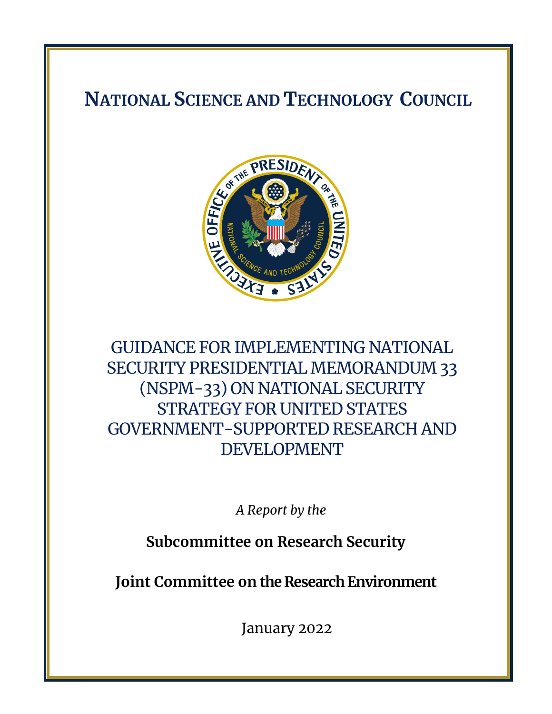# **NATIONAL SCIENCE AND TECHNOLOGY COUNCIL**



# GUIDANCE FOR IMPLEMENTING NATIONAL SECURITY PRESIDENTIAL MEMORANDUM 33 (NSPM-33) ON NATIONAL SECURITY STRATEGY FOR UNITED STATES GOVERNMENT-SUPPORTED RESEARCH AND DEVELOPMENT

*A Report by the* 

**Subcommittee on Research Security**

**Joint Committee on the Research Environment**

January 2022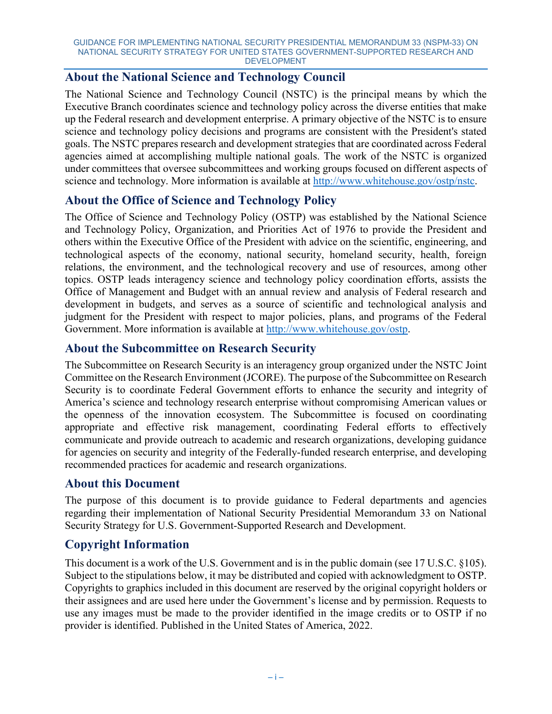## **About the National Science and Technology Council**

The National Science and Technology Council (NSTC) is the principal means by which the Executive Branch coordinates science and technology policy across the diverse entities that make up the Federal research and development enterprise. A primary objective of the NSTC is to ensure science and technology policy decisions and programs are consistent with the President's stated goals. The NSTC prepares research and development strategies that are coordinated across Federal agencies aimed at accomplishing multiple national goals. The work of the NSTC is organized under committees that oversee subcommittees and working groups focused on different aspects of science and technology. More information is available at [http://www.whitehouse.gov/ostp/nstc.](http://www.whitehouse.gov/ostp/nstc)

## **About the Office of Science and Technology Policy**

The Office of Science and Technology Policy (OSTP) was established by the National Science and Technology Policy, Organization, and Priorities Act of 1976 to provide the President and others within the Executive Office of the President with advice on the scientific, engineering, and technological aspects of the economy, national security, homeland security, health, foreign relations, the environment, and the technological recovery and use of resources, among other topics. OSTP leads interagency science and technology policy coordination efforts, assists the Office of Management and Budget with an annual review and analysis of Federal research and development in budgets, and serves as a source of scientific and technological analysis and judgment for the President with respect to major policies, plans, and programs of the Federal Government. More information is available at [http://www.whitehouse.gov/ostp.](http://www.whitehouse.gov/ostp)

## **About the Subcommittee on Research Security**

The Subcommittee on Research Security is an interagency group organized under the NSTC Joint Committee on the Research Environment (JCORE). The purpose of the Subcommittee on Research Security is to coordinate Federal Government efforts to enhance the security and integrity of America's science and technology research enterprise without compromising American values or the openness of the innovation ecosystem. The Subcommittee is focused on coordinating appropriate and effective risk management, coordinating Federal efforts to effectively communicate and provide outreach to academic and research organizations, developing guidance for agencies on security and integrity of the Federally-funded research enterprise, and developing recommended practices for academic and research organizations.

## **About this Document**

The purpose of this document is to provide guidance to Federal departments and agencies regarding their implementation of National Security Presidential Memorandum 33 on National Security Strategy for U.S. Government-Supported Research and Development.

## **Copyright Information**

This document is a work of the U.S. Government and is in the public domain (see 17 U.S.C. §105). Subject to the stipulations below, it may be distributed and copied with acknowledgment to OSTP. Copyrights to graphics included in this document are reserved by the original copyright holders or their assignees and are used here under the Government's license and by permission. Requests to use any images must be made to the provider identified in the image credits or to OSTP if no provider is identified. Published in the United States of America, 2022.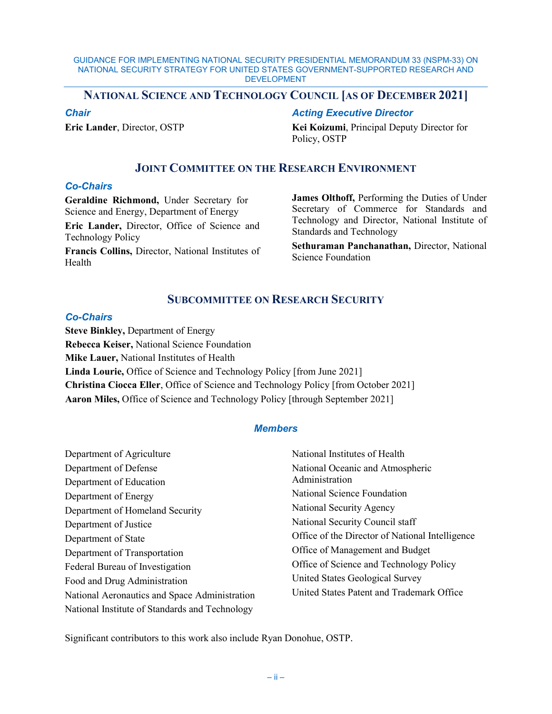## **NATIONAL SCIENCE AND TECHNOLOGY COUNCIL [AS OF DECEMBER 2021]**

*Chair*

**Eric Lander**, Director, OSTP

*Acting Executive Director* 

**Kei Koizumi**, Principal Deputy Director for Policy, OSTP

## **JOINT COMMITTEE ON THE RESEARCH ENVIRONMENT**

### *Co-Chairs*

**Geraldine Richmond,** Under Secretary for Science and Energy, Department of Energy

**Eric Lander,** Director, Office of Science and Technology Policy

**Francis Collins,** Director, National Institutes of Health

**James Olthoff,** Performing the Duties of Under Secretary of Commerce for Standards and Technology and Director, National Institute of Standards and Technology

**Sethuraman Panchanathan,** Director, National Science Foundation

## **SUBCOMMITTEE ON RESEARCH SECURITY**

### *Co-Chairs*

**Steve Binkley,** Department of Energy **Rebecca Keiser,** National Science Foundation **Mike Lauer,** National Institutes of Health **Linda Lourie,** Office of Science and Technology Policy [from June 2021] **Christina Ciocca Eller**, Office of Science and Technology Policy [from October 2021] **Aaron Miles,** Office of Science and Technology Policy [through September 2021]

### *Members*

| Department of Agriculture                      | National Institutes of Health                   |
|------------------------------------------------|-------------------------------------------------|
| Department of Defense                          | National Oceanic and Atmospheric                |
| Department of Education                        | Administration                                  |
| Department of Energy                           | National Science Foundation                     |
| Department of Homeland Security                | National Security Agency                        |
| Department of Justice                          | National Security Council staff                 |
| Department of State                            | Office of the Director of National Intelligence |
| Department of Transportation                   | Office of Management and Budget                 |
| Federal Bureau of Investigation                | Office of Science and Technology Policy         |
| Food and Drug Administration                   | United States Geological Survey                 |
| National Aeronautics and Space Administration  | United States Patent and Trademark Office       |
| National Institute of Standards and Technology |                                                 |

Significant contributors to this work also include Ryan Donohue, OSTP.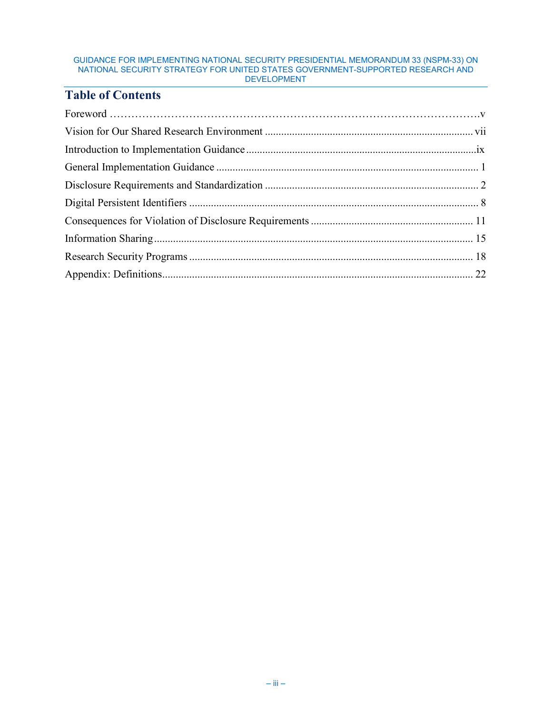## **Table of Contents**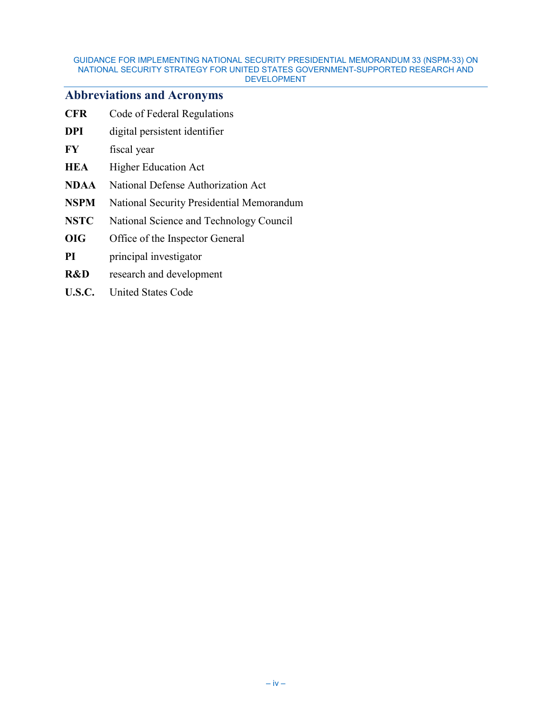## **Abbreviations and Acronyms**

| <b>CFR</b>  | Code of Federal Regulations               |
|-------------|-------------------------------------------|
| DPI         | digital persistent identifier             |
| FY          | fiscal year                               |
| HEA         | <b>Higher Education Act</b>               |
| NDAA        | National Defense Authorization Act        |
| NSPM        | National Security Presidential Memorandum |
| <b>NSTC</b> | National Science and Technology Council   |
| OIG         | Office of the Inspector General           |
| PI          | principal investigator                    |
| R&D         | research and development                  |
| U.S.C.      | <b>United States Code</b>                 |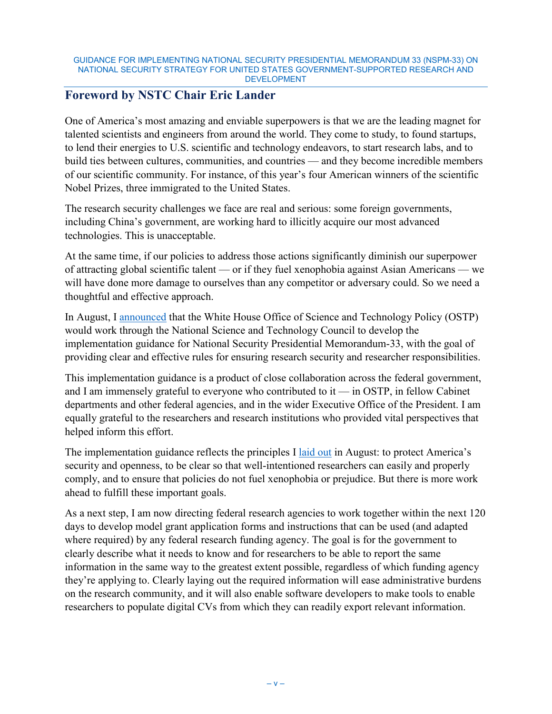## **Foreword by NSTC Chair Eric Lander**

One of America's most amazing and enviable superpowers is that we are the leading magnet for talented scientists and engineers from around the world. They come to study, to found startups, to lend their energies to U.S. scientific and technology endeavors, to start research labs, and to build ties between cultures, communities, and countries — and they become incredible members of our scientific community. For instance, of this year's four American winners of the scientific Nobel Prizes, three immigrated to the United States.

The research security challenges we face are real and serious: some foreign governments, including China's government, are working hard to illicitly acquire our most advanced technologies. This is unacceptable.

At the same time, if our policies to address those actions significantly diminish our superpower of attracting global scientific talent — or if they fuel xenophobia against Asian Americans — we will have done more damage to ourselves than any competitor or adversary could. So we need a thoughtful and effective approach.

In August, I [announced](https://www.whitehouse.gov/ostp/news-updates/2021/08/10/clear-rules-for-research-security-and-researcher-responsibility/) that the White House Office of Science and Technology Policy (OSTP) would work through the National Science and Technology Council to develop the implementation guidance for National Security Presidential Memorandum-33, with the goal of providing clear and effective rules for ensuring research security and researcher responsibilities.

This implementation guidance is a product of close collaboration across the federal government, and I am immensely grateful to everyone who contributed to it — in OSTP, in fellow Cabinet departments and other federal agencies, and in the wider Executive Office of the President. I am equally grateful to the researchers and research institutions who provided vital perspectives that helped inform this effort.

The implementation guidance reflects the principles I [laid out](https://www.whitehouse.gov/ostp/news-updates/2021/08/10/clear-rules-for-research-security-and-researcher-responsibility/) in August: to protect America's security and openness, to be clear so that well-intentioned researchers can easily and properly comply, and to ensure that policies do not fuel xenophobia or prejudice. But there is more work ahead to fulfill these important goals.

As a next step, I am now directing federal research agencies to work together within the next 120 days to develop model grant application forms and instructions that can be used (and adapted where required) by any federal research funding agency. The goal is for the government to clearly describe what it needs to know and for researchers to be able to report the same information in the same way to the greatest extent possible, regardless of which funding agency they're applying to. Clearly laying out the required information will ease administrative burdens on the research community, and it will also enable software developers to make tools to enable researchers to populate digital CVs from which they can readily export relevant information.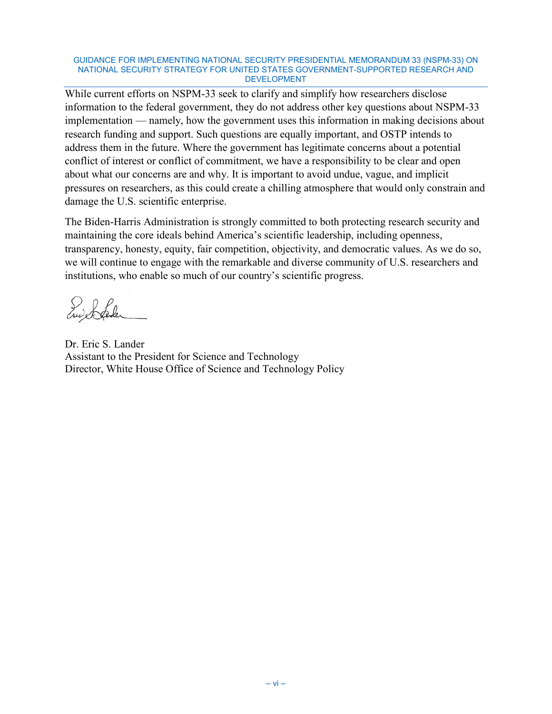While current efforts on NSPM-33 seek to clarify and simplify how researchers disclose information to the federal government, they do not address other key questions about NSPM-33 implementation — namely, how the government uses this information in making decisions about research funding and support. Such questions are equally important, and OSTP intends to address them in the future. Where the government has legitimate concerns about a potential conflict of interest or conflict of commitment, we have a responsibility to be clear and open about what our concerns are and why. It is important to avoid undue, vague, and implicit pressures on researchers, as this could create a chilling atmosphere that would only constrain and damage the U.S. scientific enterprise.

The Biden-Harris Administration is strongly committed to both protecting research security and maintaining the core ideals behind America's scientific leadership, including openness, transparency, honesty, equity, fair competition, objectivity, and democratic values. As we do so, we will continue to engage with the remarkable and diverse community of U.S. researchers and institutions, who enable so much of our country's scientific progress.

Enderfahr

Dr. Eric S. Lander Assistant to the President for Science and Technology Director, White House Office of Science and Technology Policy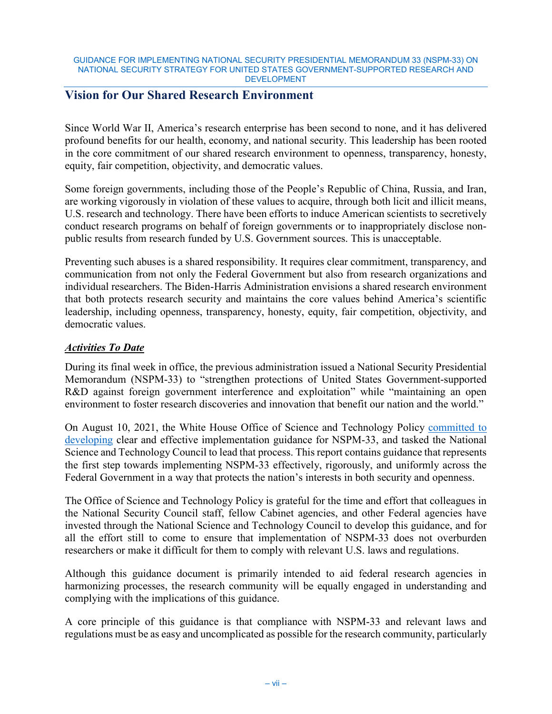## **Vision for Our Shared Research Environment**

Since World War II, America's research enterprise has been second to none, and it has delivered profound benefits for our health, economy, and national security. This leadership has been rooted in the core commitment of our shared research environment to openness, transparency, honesty, equity, fair competition, objectivity, and democratic values.

Some foreign governments, including those of the People's Republic of China, Russia, and Iran, are working vigorously in violation of these values to acquire, through both licit and illicit means, U.S. research and technology. There have been efforts to induce American scientists to secretively conduct research programs on behalf of foreign governments or to inappropriately disclose nonpublic results from research funded by U.S. Government sources. This is unacceptable.

Preventing such abuses is a shared responsibility. It requires clear commitment, transparency, and communication from not only the Federal Government but also from research organizations and individual researchers. The Biden-Harris Administration envisions a shared research environment that both protects research security and maintains the core values behind America's scientific leadership, including openness, transparency, honesty, equity, fair competition, objectivity, and democratic values.

## *Activities To Date*

During its final week in office, the previous administration issued a National Security Presidential Memorandum (NSPM-33) to "strengthen protections of United States Government-supported R&D against foreign government interference and exploitation" while "maintaining an open environment to foster research discoveries and innovation that benefit our nation and the world."

On August 10, 2021, the White House Office of Science and Technology Policy [committed to](https://www.whitehouse.gov/ostp/news-updates/2021/08/10/clear-rules-for-research-security-and-researcher-responsibility/)  [developing](https://www.whitehouse.gov/ostp/news-updates/2021/08/10/clear-rules-for-research-security-and-researcher-responsibility/) clear and effective implementation guidance for NSPM-33, and tasked the National Science and Technology Council to lead that process. This report contains guidance that represents the first step towards implementing NSPM-33 effectively, rigorously, and uniformly across the Federal Government in a way that protects the nation's interests in both security and openness.

The Office of Science and Technology Policy is grateful for the time and effort that colleagues in the National Security Council staff, fellow Cabinet agencies, and other Federal agencies have invested through the National Science and Technology Council to develop this guidance, and for all the effort still to come to ensure that implementation of NSPM-33 does not overburden researchers or make it difficult for them to comply with relevant U.S. laws and regulations.

Although this guidance document is primarily intended to aid federal research agencies in harmonizing processes, the research community will be equally engaged in understanding and complying with the implications of this guidance.

A core principle of this guidance is that compliance with NSPM-33 and relevant laws and regulations must be as easy and uncomplicated as possible for the research community, particularly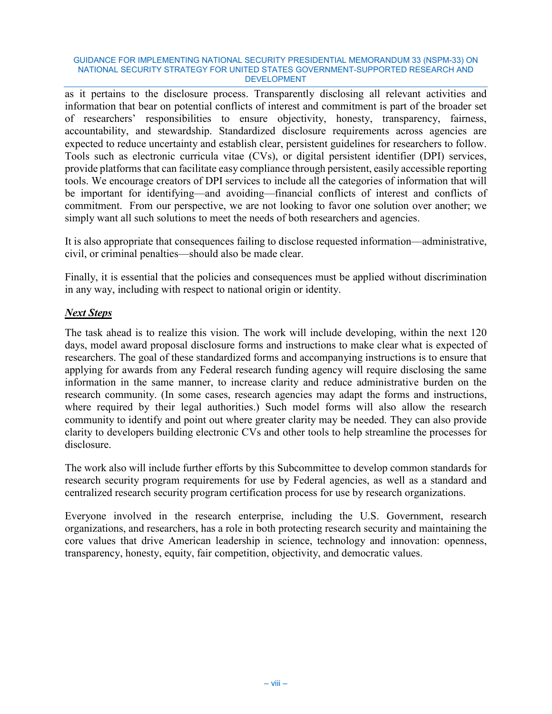as it pertains to the disclosure process. Transparently disclosing all relevant activities and information that bear on potential conflicts of interest and commitment is part of the broader set of researchers' responsibilities to ensure objectivity, honesty, transparency, fairness, accountability, and stewardship. Standardized disclosure requirements across agencies are expected to reduce uncertainty and establish clear, persistent guidelines for researchers to follow. Tools such as electronic curricula vitae (CVs), or digital persistent identifier (DPI) services, provide platforms that can facilitate easy compliance through persistent, easily accessible reporting tools. We encourage creators of DPI services to include all the categories of information that will be important for identifying—and avoiding—financial conflicts of interest and conflicts of commitment. From our perspective, we are not looking to favor one solution over another; we simply want all such solutions to meet the needs of both researchers and agencies.

It is also appropriate that consequences failing to disclose requested information—administrative, civil, or criminal penalties—should also be made clear.

Finally, it is essential that the policies and consequences must be applied without discrimination in any way, including with respect to national origin or identity.

## *Next Steps*

The task ahead is to realize this vision. The work will include developing, within the next 120 days, model award proposal disclosure forms and instructions to make clear what is expected of researchers. The goal of these standardized forms and accompanying instructions is to ensure that applying for awards from any Federal research funding agency will require disclosing the same information in the same manner, to increase clarity and reduce administrative burden on the research community. (In some cases, research agencies may adapt the forms and instructions, where required by their legal authorities.) Such model forms will also allow the research community to identify and point out where greater clarity may be needed. They can also provide clarity to developers building electronic CVs and other tools to help streamline the processes for disclosure.

The work also will include further efforts by this Subcommittee to develop common standards for research security program requirements for use by Federal agencies, as well as a standard and centralized research security program certification process for use by research organizations.

Everyone involved in the research enterprise, including the U.S. Government, research organizations, and researchers, has a role in both protecting research security and maintaining the core values that drive American leadership in science, technology and innovation: openness, transparency, honesty, equity, fair competition, objectivity, and democratic values.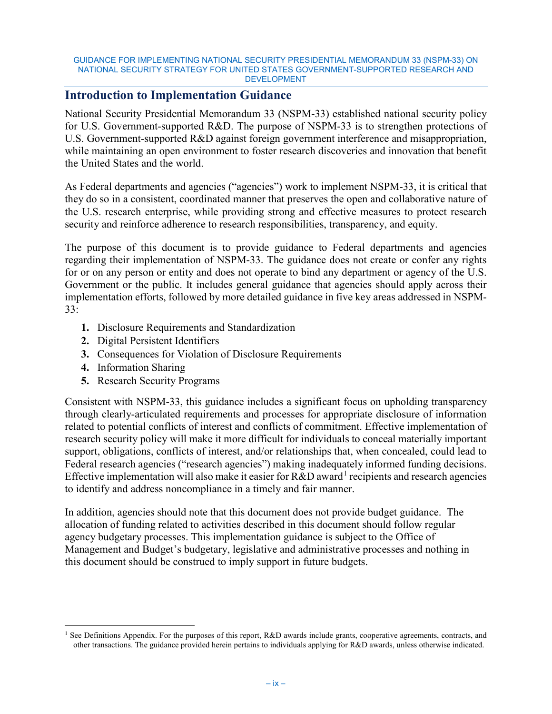## **Introduction to Implementation Guidance**

National Security Presidential Memorandum 33 (NSPM-33) established national security policy for U.S. Government-supported R&D. The purpose of NSPM-33 is to strengthen protections of U.S. Government-supported R&D against foreign government interference and misappropriation, while maintaining an open environment to foster research discoveries and innovation that benefit the United States and the world.

As Federal departments and agencies ("agencies") work to implement NSPM-33, it is critical that they do so in a consistent, coordinated manner that preserves the open and collaborative nature of the U.S. research enterprise, while providing strong and effective measures to protect research security and reinforce adherence to research responsibilities, transparency, and equity.

The purpose of this document is to provide guidance to Federal departments and agencies regarding their implementation of NSPM-33. The guidance does not create or confer any rights for or on any person or entity and does not operate to bind any department or agency of the U.S. Government or the public. It includes general guidance that agencies should apply across their implementation efforts, followed by more detailed guidance in five key areas addressed in NSPM-33:

- **1.** Disclosure Requirements and Standardization
- **2.** Digital Persistent Identifiers
- **3.** Consequences for Violation of Disclosure Requirements
- **4.** Information Sharing
- **5.** Research Security Programs

Consistent with NSPM-33, this guidance includes a significant focus on upholding transparency through clearly-articulated requirements and processes for appropriate disclosure of information related to potential conflicts of interest and conflicts of commitment. Effective implementation of research security policy will make it more difficult for individuals to conceal materially important support, obligations, conflicts of interest, and/or relationships that, when concealed, could lead to Federal research agencies ("research agencies") making inadequately informed funding decisions. Effective implementation will also make it easier for  $R&D$  award<sup>[1](#page-9-0)</sup> recipients and research agencies to identify and address noncompliance in a timely and fair manner.

In addition, agencies should note that this document does not provide budget guidance. The allocation of funding related to activities described in this document should follow regular agency budgetary processes. This implementation guidance is subject to the Office of Management and Budget's budgetary, legislative and administrative processes and nothing in this document should be construed to imply support in future budgets.

<span id="page-9-0"></span><sup>&</sup>lt;sup>1</sup> See Definitions Appendix. For the purposes of this report, R&D awards include grants, cooperative agreements, contracts, and other transactions. The guidance provided herein pertains to individuals applying for R&D awards, unless otherwise indicated.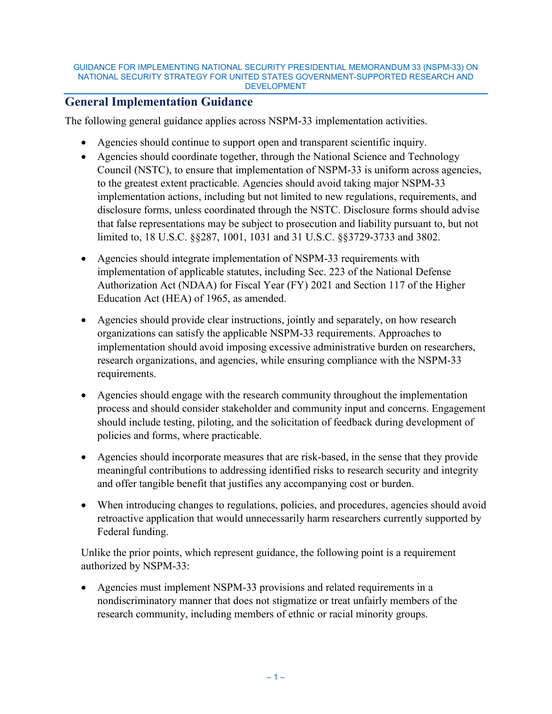## <span id="page-10-0"></span>**General Implementation Guidance**

The following general guidance applies across NSPM-33 implementation activities.

- Agencies should continue to support open and transparent scientific inquiry.
- Agencies should coordinate together, through the National Science and Technology Council (NSTC), to ensure that implementation of NSPM-33 is uniform across agencies, to the greatest extent practicable. Agencies should avoid taking major NSPM-33 implementation actions, including but not limited to new regulations, requirements, and disclosure forms, unless coordinated through the NSTC. Disclosure forms should advise that false representations may be subject to prosecution and liability pursuant to, but not limited to, 18 U.S.C. §§287, 1001, 1031 and 31 U.S.C. §§3729-3733 and 3802.
- Agencies should integrate implementation of NSPM-33 requirements with implementation of applicable statutes, including Sec. 223 of the National Defense Authorization Act (NDAA) for Fiscal Year (FY) 2021 and Section 117 of the Higher Education Act (HEA) of 1965, as amended.
- Agencies should provide clear instructions, jointly and separately, on how research organizations can satisfy the applicable NSPM-33 requirements. Approaches to implementation should avoid imposing excessive administrative burden on researchers, research organizations, and agencies, while ensuring compliance with the NSPM-33 requirements.
- Agencies should engage with the research community throughout the implementation process and should consider stakeholder and community input and concerns. Engagement should include testing, piloting, and the solicitation of feedback during development of policies and forms, where practicable.
- Agencies should incorporate measures that are risk-based, in the sense that they provide meaningful contributions to addressing identified risks to research security and integrity and offer tangible benefit that justifies any accompanying cost or burden.
- When introducing changes to regulations, policies, and procedures, agencies should avoid retroactive application that would unnecessarily harm researchers currently supported by Federal funding.

Unlike the prior points, which represent guidance, the following point is a requirement authorized by NSPM-33:

<span id="page-10-1"></span>• Agencies must implement NSPM-33 provisions and related requirements in a nondiscriminatory manner that does not stigmatize or treat unfairly members of the research community, including members of ethnic or racial minority groups.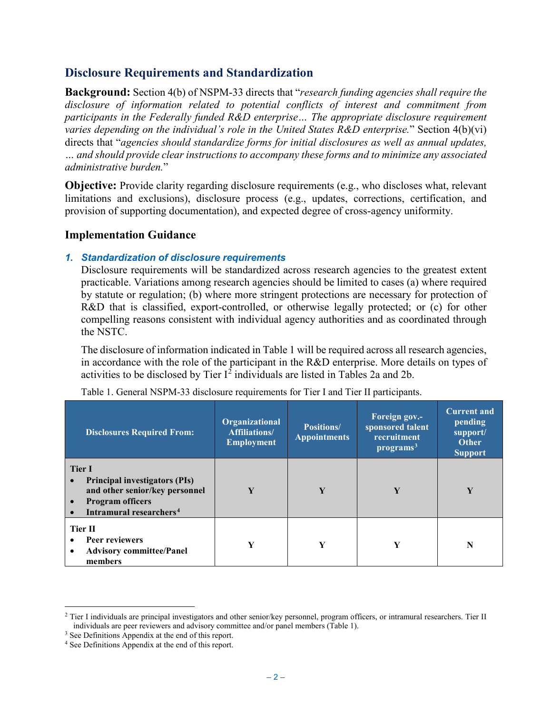## **Disclosure Requirements and Standardization**

**Background:** Section 4(b) of NSPM-33 directs that "*research funding agencies shall require the disclosure of information related to potential conflicts of interest and commitment from participants in the Federally funded R&D enterprise… The appropriate disclosure requirement varies depending on the individual's role in the United States R&D enterprise.*" Section 4(b)(vi) directs that "*agencies should standardize forms for initial disclosures as well as annual updates, … and should provide clear instructions to accompany these forms and to minimize any associated administrative burden.*"

**Objective:** Provide clarity regarding disclosure requirements (e.g., who discloses what, relevant limitations and exclusions), disclosure process (e.g., updates, corrections, certification, and provision of supporting documentation), and expected degree of cross-agency uniformity.

## **Implementation Guidance**

## *1. Standardization of disclosure requirements*

Disclosure requirements will be standardized across research agencies to the greatest extent practicable. Variations among research agencies should be limited to cases (a) where required by statute or regulation; (b) where more stringent protections are necessary for protection of R&D that is classified, export-controlled, or otherwise legally protected; or (c) for other compelling reasons consistent with individual agency authorities and as coordinated through the NSTC.

The disclosure of information indicated in Table 1 will be required across all research agencies, in accordance with the role of the participant in the R&D enterprise. More details on types of activities to be disclosed by Tier  $I^2$  $I^2$  individuals are listed in Tables 2a and 2b.

| <b>Disclosures Required From:</b>                                                                                                                         | Organizational<br><b>Affiliations/</b><br><b>Employment</b> | <b>Positions/</b><br><b>Appointments</b> | Foreign gov.-<br>sponsored talent<br>recruitment<br>programs <sup>3</sup> | <b>Current and</b><br>pending<br>support/<br><b>Other</b><br><b>Support</b> |
|-----------------------------------------------------------------------------------------------------------------------------------------------------------|-------------------------------------------------------------|------------------------------------------|---------------------------------------------------------------------------|-----------------------------------------------------------------------------|
| <b>Tier I</b><br><b>Principal investigators (PIs)</b><br>and other senior/key personnel<br><b>Program officers</b><br>Intramural researchers <sup>4</sup> | Y                                                           | Y                                        | Y                                                                         | Y                                                                           |
| Tier II<br>Peer reviewers<br><b>Advisory committee/Panel</b><br>٠<br>members                                                                              | Y                                                           | Y                                        | Y                                                                         |                                                                             |

| Table 1. General NSPM-33 disclosure requirements for Tier I and Tier II participants. |  |  |  |  |
|---------------------------------------------------------------------------------------|--|--|--|--|
|                                                                                       |  |  |  |  |

<span id="page-11-0"></span><sup>&</sup>lt;sup>2</sup> Tier I individuals are principal investigators and other senior/key personnel, program officers, or intramural researchers. Tier II individuals are peer reviewers and advisory committee and/or panel members (Table 1).

<span id="page-11-1"></span><sup>&</sup>lt;sup>3</sup> See Definitions Appendix at the end of this report.

<span id="page-11-2"></span><sup>4</sup> See Definitions Appendix at the end of this report.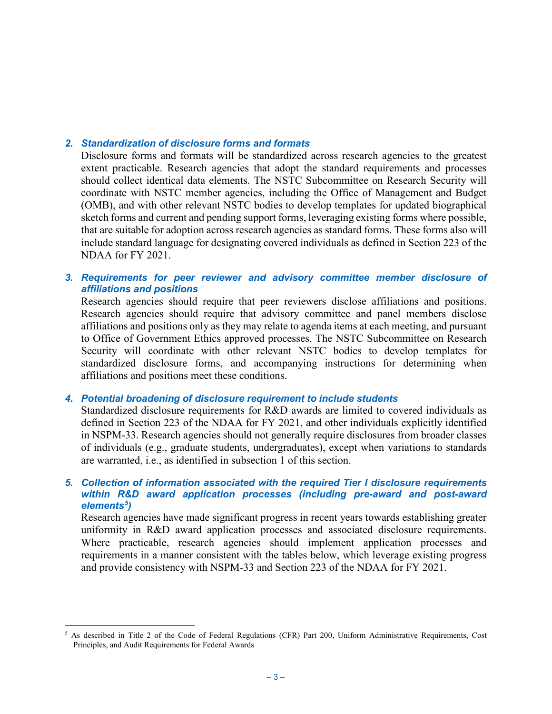## *2. Standardization of disclosure forms and formats*

Disclosure forms and formats will be standardized across research agencies to the greatest extent practicable. Research agencies that adopt the standard requirements and processes should collect identical data elements. The NSTC Subcommittee on Research Security will coordinate with NSTC member agencies, including the Office of Management and Budget (OMB), and with other relevant NSTC bodies to develop templates for updated biographical sketch forms and current and pending support forms, leveraging existing forms where possible, that are suitable for adoption across research agencies as standard forms. These forms also will include standard language for designating covered individuals as defined in Section 223 of the NDAA for FY 2021.

*3. Requirements for peer reviewer and advisory committee member disclosure of affiliations and positions*

Research agencies should require that peer reviewers disclose affiliations and positions. Research agencies should require that advisory committee and panel members disclose affiliations and positions only as they may relate to agenda items at each meeting, and pursuant to Office of Government Ethics approved processes. The NSTC Subcommittee on Research Security will coordinate with other relevant NSTC bodies to develop templates for standardized disclosure forms, and accompanying instructions for determining when affiliations and positions meet these conditions.

### *4. Potential broadening of disclosure requirement to include students*

Standardized disclosure requirements for R&D awards are limited to covered individuals as defined in Section 223 of the NDAA for FY 2021, and other individuals explicitly identified in NSPM-33. Research agencies should not generally require disclosures from broader classes of individuals (e.g., graduate students, undergraduates), except when variations to standards are warranted, i.e., as identified in subsection 1 of this section.

### *5. Collection of information associated with the required Tier I disclosure requirements within R&D award application processes (including pre-award and post-award elements[5](#page-12-0) )*

Research agencies have made significant progress in recent years towards establishing greater uniformity in R&D award application processes and associated disclosure requirements. Where practicable, research agencies should implement application processes and requirements in a manner consistent with the tables below, which leverage existing progress and provide consistency with NSPM-33 and Section 223 of the NDAA for FY 2021.

<span id="page-12-0"></span> <sup>5</sup> As described in Title 2 of the Code of Federal Regulations (CFR) Part 200, Uniform Administrative Requirements, Cost Principles, and Audit Requirements for Federal Awards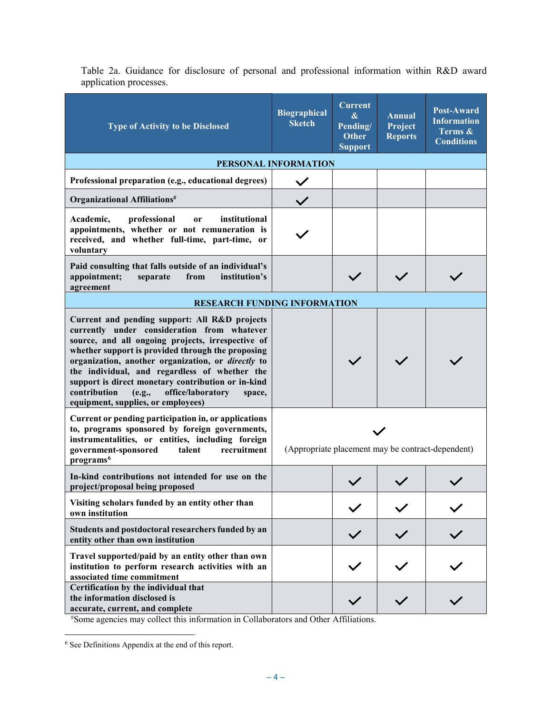| <b>Type of Activity to be Disclosed</b>                                                                                                                                                                                                                                                                                                                                                                                                                            | <b>Biographical</b><br><b>Sketch</b>              | <b>Current</b><br>$\boldsymbol{\&}$<br>Pending/<br><b>Other</b><br><b>Support</b> | <b>Annual</b><br>Project<br><b>Reports</b> | Post-Award<br><b>Information</b><br>Terms &<br><b>Conditions</b> |
|--------------------------------------------------------------------------------------------------------------------------------------------------------------------------------------------------------------------------------------------------------------------------------------------------------------------------------------------------------------------------------------------------------------------------------------------------------------------|---------------------------------------------------|-----------------------------------------------------------------------------------|--------------------------------------------|------------------------------------------------------------------|
|                                                                                                                                                                                                                                                                                                                                                                                                                                                                    | PERSONAL INFORMATION                              |                                                                                   |                                            |                                                                  |
| Professional preparation (e.g., educational degrees)                                                                                                                                                                                                                                                                                                                                                                                                               |                                                   |                                                                                   |                                            |                                                                  |
| Organizational Affiliations <sup>#</sup>                                                                                                                                                                                                                                                                                                                                                                                                                           |                                                   |                                                                                   |                                            |                                                                  |
| Academic,<br>professional<br>institutional<br><sub>or</sub><br>appointments, whether or not remuneration is<br>received, and whether full-time, part-time, or<br>voluntary                                                                                                                                                                                                                                                                                         |                                                   |                                                                                   |                                            |                                                                  |
| Paid consulting that falls outside of an individual's<br>appointment;<br>institution's<br>from<br>separate<br>agreement                                                                                                                                                                                                                                                                                                                                            |                                                   |                                                                                   |                                            |                                                                  |
| <b>RESEARCH FUNDING INFORMATION</b>                                                                                                                                                                                                                                                                                                                                                                                                                                |                                                   |                                                                                   |                                            |                                                                  |
| Current and pending support: All R&D projects<br>currently under consideration from whatever<br>source, and all ongoing projects, irrespective of<br>whether support is provided through the proposing<br>organization, another organization, or directly to<br>the individual, and regardless of whether the<br>support is direct monetary contribution or in-kind<br>contribution<br>office/laboratory<br>(e.g.,<br>space,<br>equipment, supplies, or employees) |                                                   |                                                                                   |                                            |                                                                  |
| Current or pending participation in, or applications<br>to, programs sponsored by foreign governments,<br>instrumentalities, or entities, including foreign<br>recruitment<br>government-sponsored<br>talent<br>programs <sup>6</sup>                                                                                                                                                                                                                              | (Appropriate placement may be contract-dependent) |                                                                                   |                                            |                                                                  |
| In-kind contributions not intended for use on the<br>project/proposal being proposed                                                                                                                                                                                                                                                                                                                                                                               |                                                   |                                                                                   |                                            |                                                                  |
| Visiting scholars funded by an entity other than<br>own institution                                                                                                                                                                                                                                                                                                                                                                                                |                                                   |                                                                                   |                                            |                                                                  |
| Students and postdoctoral researchers funded by an<br>entity other than own institution                                                                                                                                                                                                                                                                                                                                                                            |                                                   |                                                                                   |                                            |                                                                  |
| Travel supported/paid by an entity other than own<br>institution to perform research activities with an<br>associated time commitment                                                                                                                                                                                                                                                                                                                              |                                                   |                                                                                   |                                            |                                                                  |
| Certification by the individual that<br>the information disclosed is<br>accurate, current, and complete<br>*Some agencies may collect this information in Collaborators and Other Affiliations.                                                                                                                                                                                                                                                                    |                                                   |                                                                                   |                                            |                                                                  |

Table 2a. Guidance for disclosure of personal and professional information within R&D award application processes.

<span id="page-13-0"></span> <sup>6</sup> See Definitions Appendix at the end of this report.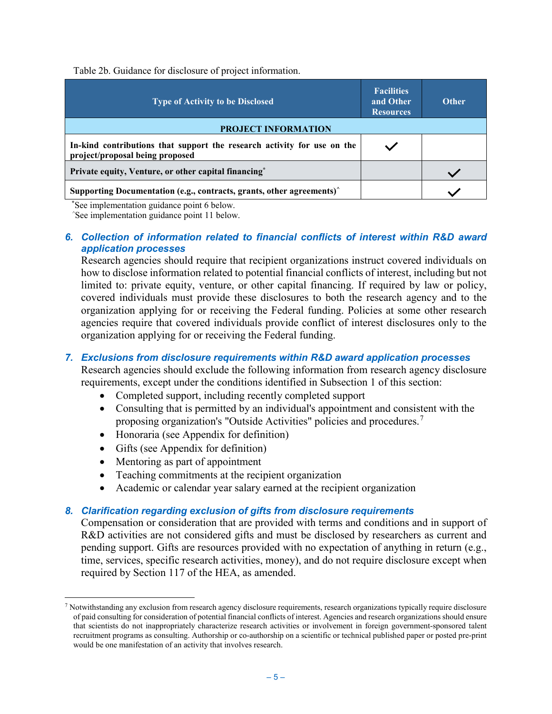Table 2b. Guidance for disclosure of project information.

| <b>Type of Activity to be Disclosed</b>                                                                    | <b>Facilities</b><br>and Other<br><b>Resources</b> | <b>Other</b> |
|------------------------------------------------------------------------------------------------------------|----------------------------------------------------|--------------|
| <b>PROJECT INFORMATION</b>                                                                                 |                                                    |              |
| In-kind contributions that support the research activity for use on the<br>project/proposal being proposed |                                                    |              |
| Private equity, Venture, or other capital financing*                                                       |                                                    |              |
| Supporting Documentation (e.g., contracts, grants, other agreements) <sup>^</sup>                          |                                                    |              |

\* See implementation guidance point 6 below. ^

See implementation guidance point 11 below.

### *6. Collection of information related to financial conflicts of interest within R&D award application processes*

Research agencies should require that recipient organizations instruct covered individuals on how to disclose information related to potential financial conflicts of interest, including but not limited to: private equity, venture, or other capital financing. If required by law or policy, covered individuals must provide these disclosures to both the research agency and to the organization applying for or receiving the Federal funding. Policies at some other research agencies require that covered individuals provide conflict of interest disclosures only to the organization applying for or receiving the Federal funding.

## *7. Exclusions from disclosure requirements within R&D award application processes*

Research agencies should exclude the following information from research agency disclosure requirements, except under the conditions identified in Subsection 1 of this section:

- Completed support, including recently completed support
- Consulting that is permitted by an individual's appointment and consistent with the proposing organization's "Outside Activities" policies and procedures.<sup>[7](#page-14-0)</sup>
- Honoraria (see Appendix for definition)
- Gifts (see Appendix for definition)
- Mentoring as part of appointment
- Teaching commitments at the recipient organization
- Academic or calendar year salary earned at the recipient organization

### *8. Clarification regarding exclusion of gifts from disclosure requirements*

Compensation or consideration that are provided with terms and conditions and in support of R&D activities are not considered gifts and must be disclosed by researchers as current and pending support. Gifts are resources provided with no expectation of anything in return (e.g., time, services, specific research activities, money), and do not require disclosure except when required by Section 117 of the HEA, as amended.

<span id="page-14-0"></span> $<sup>7</sup>$  Notwithstanding any exclusion from research agency disclosure requirements, research organizations typically require disclosure</sup> of paid consulting for consideration of potential financial conflicts of interest. Agencies and research organizations should ensure that scientists do not inappropriately characterize research activities or involvement in foreign government-sponsored talent recruitment programs as consulting. Authorship or co-authorship on a scientific or technical published paper or posted pre-print would be one manifestation of an activity that involves research.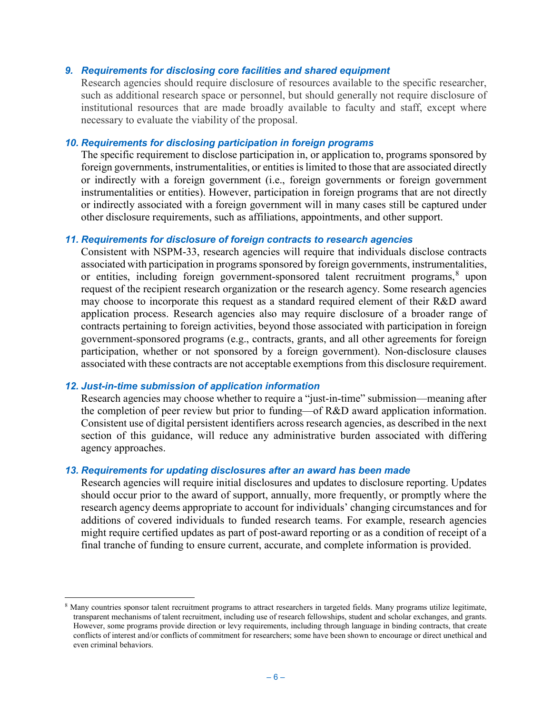### *9. Requirements for disclosing core facilities and shared equipment*

Research agencies should require disclosure of resources available to the specific researcher, such as additional research space or personnel, but should generally not require disclosure of institutional resources that are made broadly available to faculty and staff, except where necessary to evaluate the viability of the proposal.

### *10. Requirements for disclosing participation in foreign programs*

The specific requirement to disclose participation in, or application to, programs sponsored by foreign governments, instrumentalities, or entities is limited to those that are associated directly or indirectly with a foreign government (i.e., foreign governments or foreign government instrumentalities or entities). However, participation in foreign programs that are not directly or indirectly associated with a foreign government will in many cases still be captured under other disclosure requirements, such as affiliations, appointments, and other support.

### *11. Requirements for disclosure of foreign contracts to research agencies*

Consistent with NSPM-33, research agencies will require that individuals disclose contracts associated with participation in programs sponsored by foreign governments, instrumentalities, or entities, including foreign government-sponsored talent recruitment programs,<sup>[8](#page-15-0)</sup> upon request of the recipient research organization or the research agency. Some research agencies may choose to incorporate this request as a standard required element of their R&D award application process. Research agencies also may require disclosure of a broader range of contracts pertaining to foreign activities, beyond those associated with participation in foreign government-sponsored programs (e.g., contracts, grants, and all other agreements for foreign participation, whether or not sponsored by a foreign government). Non-disclosure clauses associated with these contracts are not acceptable exemptions from this disclosure requirement.

## *12. Just-in-time submission of application information*

Research agencies may choose whether to require a "just-in-time" submission—meaning after the completion of peer review but prior to funding—of R&D award application information. Consistent use of digital persistent identifiers across research agencies, as described in the next section of this guidance, will reduce any administrative burden associated with differing agency approaches.

### *13. Requirements for updating disclosures after an award has been made*

Research agencies will require initial disclosures and updates to disclosure reporting. Updates should occur prior to the award of support, annually, more frequently, or promptly where the research agency deems appropriate to account for individuals' changing circumstances and for additions of covered individuals to funded research teams. For example, research agencies might require certified updates as part of post-award reporting or as a condition of receipt of a final tranche of funding to ensure current, accurate, and complete information is provided.

<span id="page-15-0"></span><sup>&</sup>lt;sup>8</sup> Many countries sponsor talent recruitment programs to attract researchers in targeted fields. Many programs utilize legitimate, transparent mechanisms of talent recruitment, including use of research fellowships, student and scholar exchanges, and grants. However, some programs provide direction or levy requirements, including through language in binding contracts, that create conflicts of interest and/or conflicts of commitment for researchers; some have been shown to encourage or direct unethical and even criminal behaviors.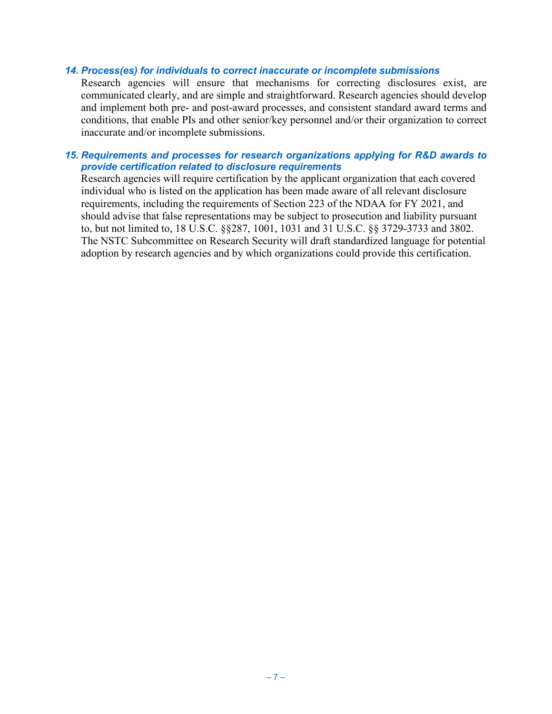### *14. Process(es) for individuals to correct inaccurate or incomplete submissions*

Research agencies will ensure that mechanisms for correcting disclosures exist, are communicated clearly, and are simple and straightforward. Research agencies should develop and implement both pre- and post-award processes, and consistent standard award terms and conditions, that enable PIs and other senior/key personnel and/or their organization to correct inaccurate and/or incomplete submissions.

### *15. Requirements and processes for research organizations applying for R&D awards to provide certification related to disclosure requirements*

Research agencies will require certification by the applicant organization that each covered individual who is listed on the application has been made aware of all relevant disclosure requirements, including the requirements of Section 223 of the NDAA for FY 2021, and should advise that false representations may be subject to prosecution and liability pursuant to, but not limited to, 18 U.S.C. §§287, 1001, 1031 and 31 U.S.C. §§ 3729-3733 and 3802. The NSTC Subcommittee on Research Security will draft standardized language for potential adoption by research agencies and by which organizations could provide this certification.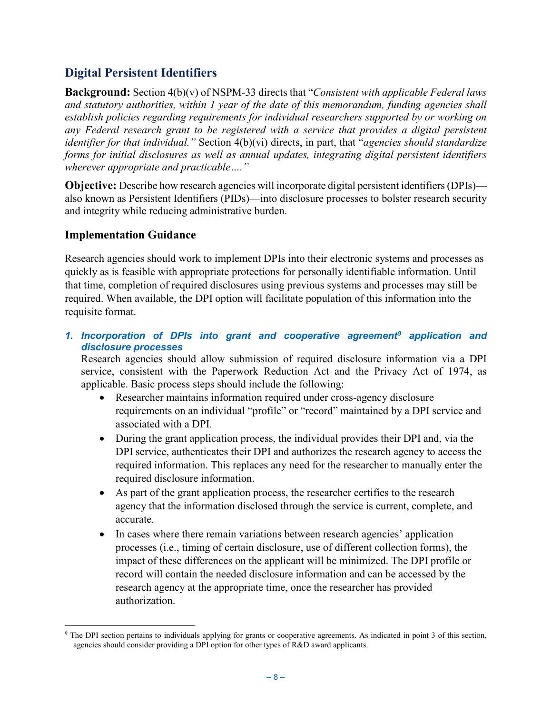## <span id="page-17-0"></span>**Digital Persistent Identifiers**

**Background:** Section 4(b)(v) of NSPM-33 directs that "*Consistent with applicable Federal laws and statutory authorities, within 1 year of the date of this memorandum, funding agencies shall establish policies regarding requirements for individual researchers supported by or working on any Federal research grant to be registered with a service that provides a digital persistent identifier for that individual."* Section 4(b)(vi) directs, in part, that "*agencies should standardize forms for initial disclosures as well as annual updates, integrating digital persistent identifiers wherever appropriate and practicable…."*

**Objective:** Describe how research agencies will incorporate digital persistent identifiers (DPIs) also known as Persistent Identifiers (PIDs)—into disclosure processes to bolster research security and integrity while reducing administrative burden.

## **Implementation Guidance**

Research agencies should work to implement DPIs into their electronic systems and processes as quickly as is feasible with appropriate protections for personally identifiable information. Until that time, completion of required disclosures using previous systems and processes may still be required. When available, the DPI option will facilitate population of this information into the requisite format.

*1. Incorporation of DPIs into grant and cooperative agreement[9](#page-17-1) application and disclosure processes*

Research agencies should allow submission of required disclosure information via a DPI service, consistent with the Paperwork Reduction Act and the Privacy Act of 1974, as applicable. Basic process steps should include the following:

- Researcher maintains information required under cross-agency disclosure requirements on an individual "profile" or "record" maintained by a DPI service and associated with a DPI.
- During the grant application process, the individual provides their DPI and, via the DPI service, authenticates their DPI and authorizes the research agency to access the required information. This replaces any need for the researcher to manually enter the required disclosure information.
- As part of the grant application process, the researcher certifies to the research agency that the information disclosed through the service is current, complete, and accurate.
- In cases where there remain variations between research agencies' application processes (i.e., timing of certain disclosure, use of different collection forms), the impact of these differences on the applicant will be minimized. The DPI profile or record will contain the needed disclosure information and can be accessed by the research agency at the appropriate time, once the researcher has provided authorization.

<span id="page-17-1"></span> <sup>9</sup> The DPI section pertains to individuals applying for grants or cooperative agreements. As indicated in point 3 of this section, agencies should consider providing a DPI option for other types of R&D award applicants.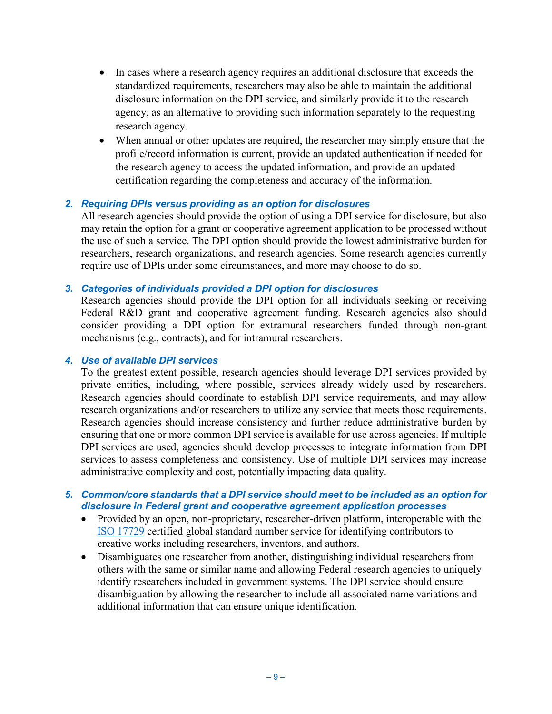- In cases where a research agency requires an additional disclosure that exceeds the standardized requirements, researchers may also be able to maintain the additional disclosure information on the DPI service, and similarly provide it to the research agency, as an alternative to providing such information separately to the requesting research agency.
- When annual or other updates are required, the researcher may simply ensure that the profile/record information is current, provide an updated authentication if needed for the research agency to access the updated information, and provide an updated certification regarding the completeness and accuracy of the information.

### *2. Requiring DPIs versus providing as an option for disclosures*

All research agencies should provide the option of using a DPI service for disclosure, but also may retain the option for a grant or cooperative agreement application to be processed without the use of such a service. The DPI option should provide the lowest administrative burden for researchers, research organizations, and research agencies. Some research agencies currently require use of DPIs under some circumstances, and more may choose to do so.

### *3. Categories of individuals provided a DPI option for disclosures*

Research agencies should provide the DPI option for all individuals seeking or receiving Federal R&D grant and cooperative agreement funding. Research agencies also should consider providing a DPI option for extramural researchers funded through non-grant mechanisms (e.g., contracts), and for intramural researchers.

### *4. Use of available DPI services*

To the greatest extent possible, research agencies should leverage DPI services provided by private entities, including, where possible, services already widely used by researchers. Research agencies should coordinate to establish DPI service requirements, and may allow research organizations and/or researchers to utilize any service that meets those requirements. Research agencies should increase consistency and further reduce administrative burden by ensuring that one or more common DPI service is available for use across agencies. If multiple DPI services are used, agencies should develop processes to integrate information from DPI services to assess completeness and consistency. Use of multiple DPI services may increase administrative complexity and cost, potentially impacting data quality.

### *5. Common/core standards that a DPI service should meet to be included as an option for disclosure in Federal grant and cooperative agreement application processes*

- Provided by an open, non-proprietary, researcher-driven platform, interoperable with the [ISO 17729](https://www.iso.org/standard/44292.html) certified global standard number service for identifying contributors to creative works including researchers, inventors, and authors.
- Disambiguates one researcher from another, distinguishing individual researchers from others with the same or similar name and allowing Federal research agencies to uniquely identify researchers included in government systems. The DPI service should ensure disambiguation by allowing the researcher to include all associated name variations and additional information that can ensure unique identification.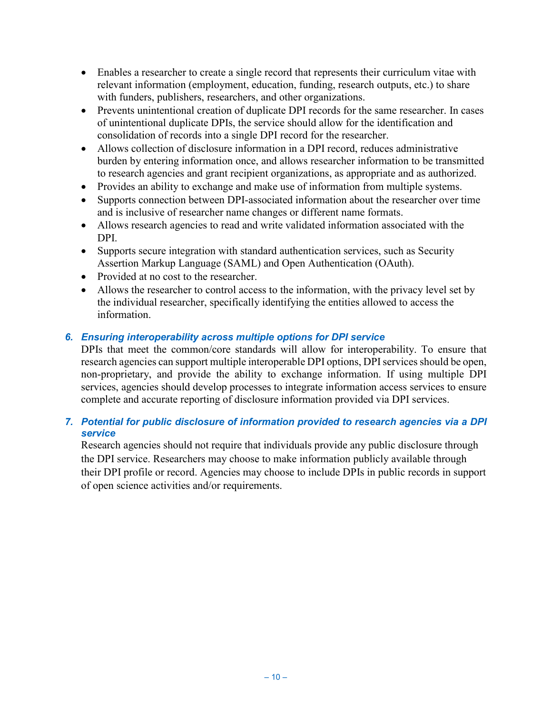- Enables a researcher to create a single record that represents their curriculum vitae with relevant information (employment, education, funding, research outputs, etc.) to share with funders, publishers, researchers, and other organizations.
- Prevents unintentional creation of duplicate DPI records for the same researcher. In cases of unintentional duplicate DPIs, the service should allow for the identification and consolidation of records into a single DPI record for the researcher.
- Allows collection of disclosure information in a DPI record, reduces administrative burden by entering information once, and allows researcher information to be transmitted to research agencies and grant recipient organizations, as appropriate and as authorized.
- Provides an ability to exchange and make use of information from multiple systems.
- Supports connection between DPI-associated information about the researcher over time and is inclusive of researcher name changes or different name formats.
- Allows research agencies to read and write validated information associated with the DPI.
- Supports secure integration with standard authentication services, such as Security Assertion Markup Language (SAML) and Open Authentication (OAuth).
- Provided at no cost to the researcher.
- Allows the researcher to control access to the information, with the privacy level set by the individual researcher, specifically identifying the entities allowed to access the information.

## *6. Ensuring interoperability across multiple options for DPI service*

DPIs that meet the common/core standards will allow for interoperability. To ensure that research agencies can support multiple interoperable DPI options, DPI services should be open, non-proprietary, and provide the ability to exchange information. If using multiple DPI services, agencies should develop processes to integrate information access services to ensure complete and accurate reporting of disclosure information provided via DPI services.

## *7. Potential for public disclosure of information provided to research agencies via a DPI service*

Research agencies should not require that individuals provide any public disclosure through the DPI service. Researchers may choose to make information publicly available through their DPI profile or record. Agencies may choose to include DPIs in public records in support of open science activities and/or requirements.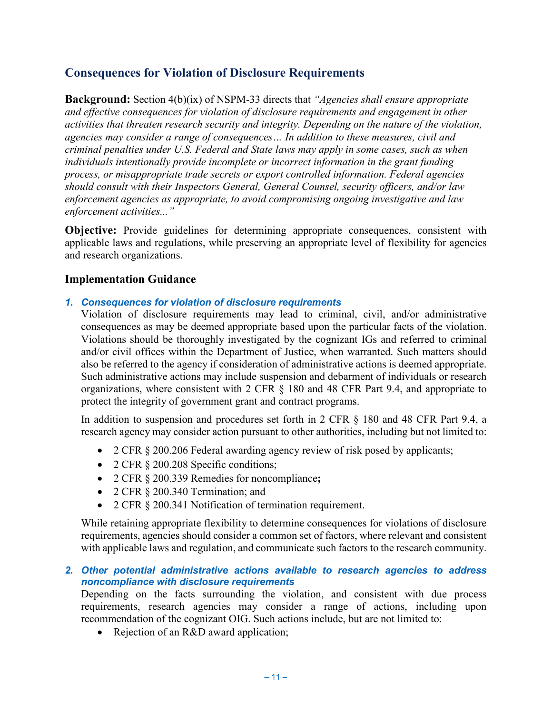## <span id="page-20-0"></span>**Consequences for Violation of Disclosure Requirements**

**Background:** Section 4(b)(ix) of NSPM-33 directs that *"Agencies shall ensure appropriate and effective consequences for violation of disclosure requirements and engagement in other activities that threaten research security and integrity. Depending on the nature of the violation, agencies may consider a range of consequences… In addition to these measures, civil and criminal penalties under U.S. Federal and State laws may apply in some cases, such as when individuals intentionally provide incomplete or incorrect information in the grant funding process, or misappropriate trade secrets or export controlled information. Federal agencies should consult with their Inspectors General, General Counsel, security officers, and/or law enforcement agencies as appropriate, to avoid compromising ongoing investigative and law enforcement activities..."*

**Objective:** Provide guidelines for determining appropriate consequences, consistent with applicable laws and regulations, while preserving an appropriate level of flexibility for agencies and research organizations.

## **Implementation Guidance**

## *1. Consequences for violation of disclosure requirements*

Violation of disclosure requirements may lead to criminal, civil, and/or administrative consequences as may be deemed appropriate based upon the particular facts of the violation. Violations should be thoroughly investigated by the cognizant IGs and referred to criminal and/or civil offices within the Department of Justice, when warranted. Such matters should also be referred to the agency if consideration of administrative actions is deemed appropriate. Such administrative actions may include suspension and debarment of individuals or research organizations, where consistent with 2 CFR § 180 and 48 CFR Part 9.4, and appropriate to protect the integrity of government grant and contract programs.

In addition to suspension and procedures set forth in 2 CFR § 180 and 48 CFR Part 9.4, a research agency may consider action pursuant to other authorities, including but not limited to:

- 2 CFR § 200.206 Federal awarding agency review of risk posed by applicants;
- 2 CFR § 200.208 Specific conditions;
- 2 CFR § 200.339 Remedies for noncompliance**;**
- 2 CFR § 200.340 Termination; and
- 2 CFR § 200.341 Notification of termination requirement.

While retaining appropriate flexibility to determine consequences for violations of disclosure requirements, agencies should consider a common set of factors, where relevant and consistent with applicable laws and regulation, and communicate such factors to the research community.

## *2. Other potential administrative actions available to research agencies to address noncompliance with disclosure requirements*

Depending on the facts surrounding the violation, and consistent with due process requirements, research agencies may consider a range of actions, including upon recommendation of the cognizant OIG. Such actions include, but are not limited to:

• Rejection of an R&D award application;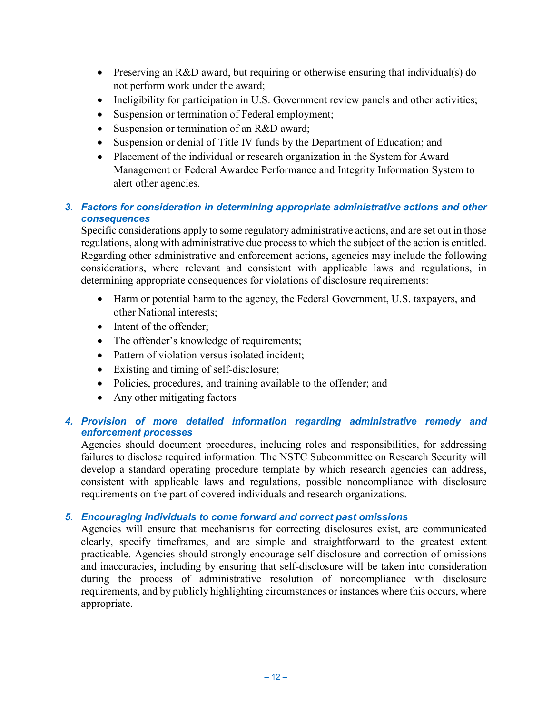- Preserving an R&D award, but requiring or otherwise ensuring that individual(s) do not perform work under the award;
- Ineligibility for participation in U.S. Government review panels and other activities;
- Suspension or termination of Federal employment;
- Suspension or termination of an R&D award;
- Suspension or denial of Title IV funds by the Department of Education; and
- Placement of the individual or research organization in the System for Award Management or Federal Awardee Performance and Integrity Information System to alert other agencies.

## *3. Factors for consideration in determining appropriate administrative actions and other consequences*

Specific considerations apply to some regulatory administrative actions, and are set out in those regulations, along with administrative due process to which the subject of the action is entitled. Regarding other administrative and enforcement actions, agencies may include the following considerations, where relevant and consistent with applicable laws and regulations, in determining appropriate consequences for violations of disclosure requirements:

- Harm or potential harm to the agency, the Federal Government, U.S. taxpayers, and other National interests;
- Intent of the offender:
- The offender's knowledge of requirements;
- Pattern of violation versus isolated incident:
- Existing and timing of self-disclosure;
- Policies, procedures, and training available to the offender; and
- Any other mitigating factors

## *4. Provision of more detailed information regarding administrative remedy and enforcement processes*

Agencies should document procedures, including roles and responsibilities, for addressing failures to disclose required information. The NSTC Subcommittee on Research Security will develop a standard operating procedure template by which research agencies can address, consistent with applicable laws and regulations, possible noncompliance with disclosure requirements on the part of covered individuals and research organizations.

## *5. Encouraging individuals to come forward and correct past omissions*

Agencies will ensure that mechanisms for correcting disclosures exist, are communicated clearly, specify timeframes, and are simple and straightforward to the greatest extent practicable. Agencies should strongly encourage self-disclosure and correction of omissions and inaccuracies, including by ensuring that self-disclosure will be taken into consideration during the process of administrative resolution of noncompliance with disclosure requirements, and by publicly highlighting circumstances or instances where this occurs, where appropriate.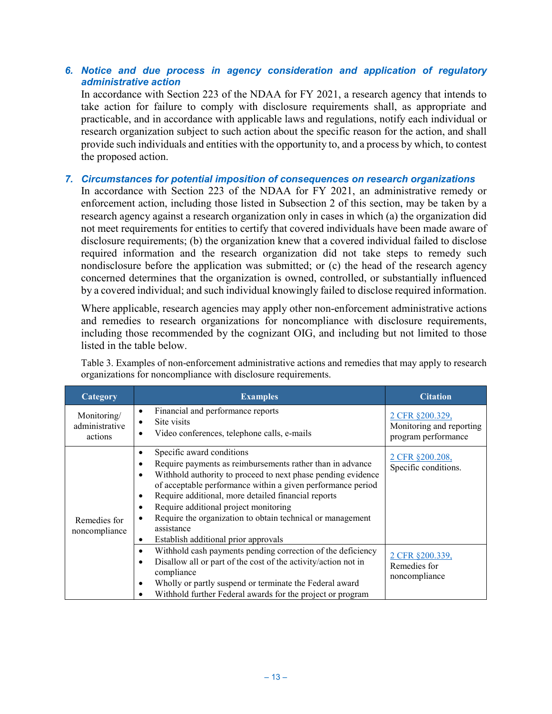## *6. Notice and due process in agency consideration and application of regulatory administrative action*

In accordance with Section 223 of the NDAA for FY 2021, a research agency that intends to take action for failure to comply with disclosure requirements shall, as appropriate and practicable, and in accordance with applicable laws and regulations, notify each individual or research organization subject to such action about the specific reason for the action, and shall provide such individuals and entities with the opportunity to, and a process by which, to contest the proposed action.

### *7. Circumstances for potential imposition of consequences on research organizations*

In accordance with Section 223 of the NDAA for FY 2021, an administrative remedy or enforcement action, including those listed in Subsection 2 of this section, may be taken by a research agency against a research organization only in cases in which (a) the organization did not meet requirements for entities to certify that covered individuals have been made aware of disclosure requirements; (b) the organization knew that a covered individual failed to disclose required information and the research organization did not take steps to remedy such nondisclosure before the application was submitted; or (c) the head of the research agency concerned determines that the organization is owned, controlled, or substantially influenced by a covered individual; and such individual knowingly failed to disclose required information.

Where applicable, research agencies may apply other non-enforcement administrative actions and remedies to research organizations for noncompliance with disclosure requirements, including those recommended by the cognizant OIG, and including but not limited to those listed in the table below.

Table 3. Examples of non-enforcement administrative actions and remedies that may apply to research organizations for noncompliance with disclosure requirements.

| Category                                 | <b>Examples</b>                                                                                                                                                                                                                                                                                                                                                                                                                                                                                              | <b>Citation</b>                                                    |
|------------------------------------------|--------------------------------------------------------------------------------------------------------------------------------------------------------------------------------------------------------------------------------------------------------------------------------------------------------------------------------------------------------------------------------------------------------------------------------------------------------------------------------------------------------------|--------------------------------------------------------------------|
| Monitoring/<br>administrative<br>actions | Financial and performance reports<br>$\bullet$<br>Site visits<br>$\bullet$<br>Video conferences, telephone calls, e-mails<br>$\bullet$                                                                                                                                                                                                                                                                                                                                                                       | 2 CFR §200.329,<br>Monitoring and reporting<br>program performance |
| Remedies for<br>noncompliance            | Specific award conditions<br>٠<br>Require payments as reimbursements rather than in advance<br>$\bullet$<br>Withhold authority to proceed to next phase pending evidence<br>$\bullet$<br>of acceptable performance within a given performance period<br>Require additional, more detailed financial reports<br>$\bullet$<br>Require additional project monitoring<br>٠<br>Require the organization to obtain technical or management<br>٠<br>assistance<br>Establish additional prior approvals<br>$\bullet$ | 2 CFR §200.208,<br>Specific conditions.                            |
|                                          | Withhold cash payments pending correction of the deficiency<br>$\bullet$<br>Disallow all or part of the cost of the activity/action not in<br>$\bullet$<br>compliance<br>Wholly or partly suspend or terminate the Federal award<br>٠<br>Withhold further Federal awards for the project or program<br>٠                                                                                                                                                                                                     | 2 CFR §200.339,<br>Remedies for<br>noncompliance                   |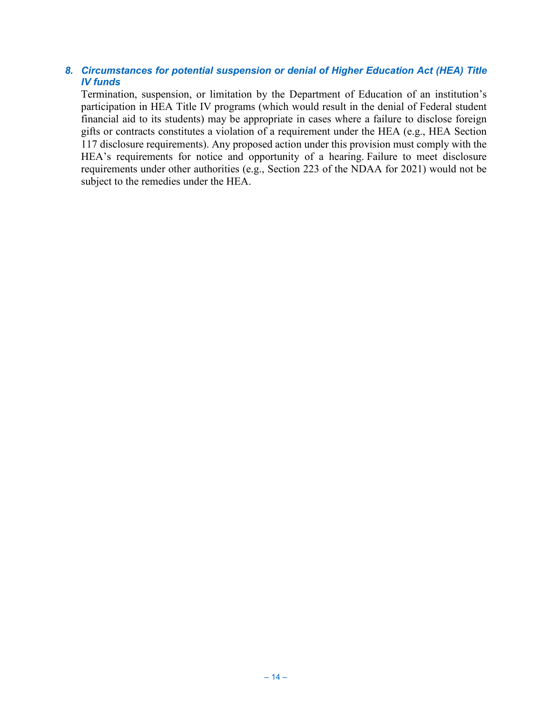## *8. Circumstances for potential suspension or denial of Higher Education Act (HEA) Title IV funds*

Termination, suspension, or limitation by the Department of Education of an institution's participation in HEA Title IV programs (which would result in the denial of Federal student financial aid to its students) may be appropriate in cases where a failure to disclose foreign gifts or contracts constitutes a violation of a requirement under the HEA (e.g., HEA Section 117 disclosure requirements). Any proposed action under this provision must comply with the HEA's requirements for notice and opportunity of a hearing. Failure to meet disclosure requirements under other authorities (e.g., Section 223 of the NDAA for 2021) would not be subject to the remedies under the HEA.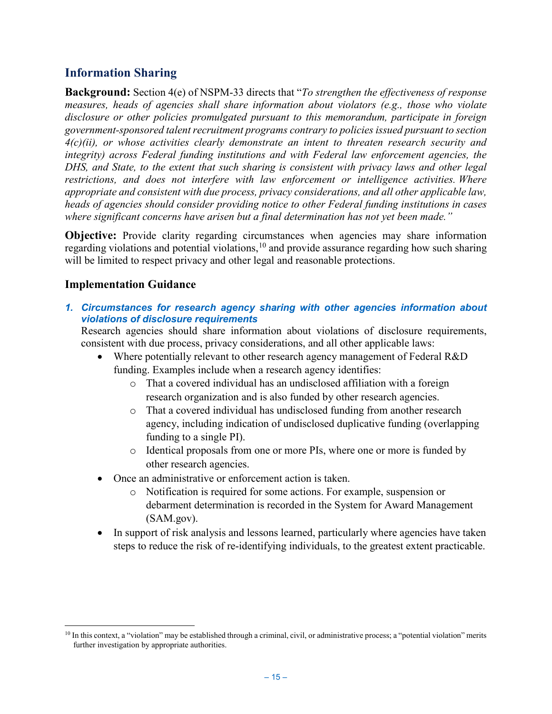## <span id="page-24-0"></span>**Information Sharing**

**Background:** Section 4(e) of NSPM-33 directs that "*To strengthen the effectiveness of response measures, heads of agencies shall share information about violators (e.g., those who violate disclosure or other policies promulgated pursuant to this memorandum, participate in foreign government-sponsored talent recruitment programs contrary to policies issued pursuant to section 4(c)(ii), or whose activities clearly demonstrate an intent to threaten research security and integrity) across Federal funding institutions and with Federal law enforcement agencies, the DHS, and State, to the extent that such sharing is consistent with privacy laws and other legal restrictions, and does not interfere with law enforcement or intelligence activities. Where appropriate and consistent with due process, privacy considerations, and all other applicable law, heads of agencies should consider providing notice to other Federal funding institutions in cases where significant concerns have arisen but a final determination has not yet been made."*

**Objective:** Provide clarity regarding circumstances when agencies may share information regarding violations and potential violations,<sup>[10](#page-24-1)</sup> and provide assurance regarding how such sharing will be limited to respect privacy and other legal and reasonable protections.

## **Implementation Guidance**

*1. Circumstances for research agency sharing with other agencies information about violations of disclosure requirements* 

Research agencies should share information about violations of disclosure requirements, consistent with due process, privacy considerations, and all other applicable laws:

- Where potentially relevant to other research agency management of Federal R&D funding. Examples include when a research agency identifies:
	- o That a covered individual has an undisclosed affiliation with a foreign research organization and is also funded by other research agencies.
	- o That a covered individual has undisclosed funding from another research agency, including indication of undisclosed duplicative funding (overlapping funding to a single PI).
	- o Identical proposals from one or more PIs, where one or more is funded by other research agencies.
- Once an administrative or enforcement action is taken.
	- o Notification is required for some actions. For example, suspension or debarment determination is recorded in the System for Award Management (SAM.gov).
- In support of risk analysis and lessons learned, particularly where agencies have taken steps to reduce the risk of re-identifying individuals, to the greatest extent practicable.

<span id="page-24-1"></span><sup>&</sup>lt;sup>10</sup> In this context, a "violation" may be established through a criminal, civil, or administrative process; a "potential violation" merits further investigation by appropriate authorities.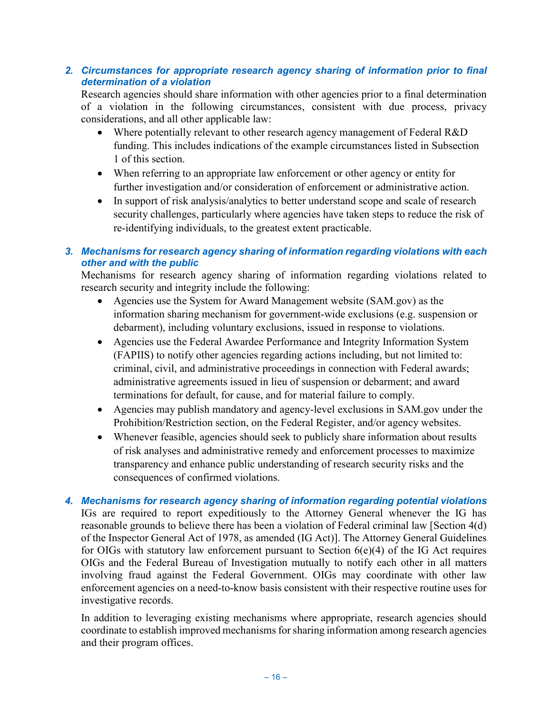## *2. Circumstances for appropriate research agency sharing of information prior to final determination of a violation*

Research agencies should share information with other agencies prior to a final determination of a violation in the following circumstances, consistent with due process, privacy considerations, and all other applicable law:

- Where potentially relevant to other research agency management of Federal R&D funding. This includes indications of the example circumstances listed in Subsection 1 of this section.
- When referring to an appropriate law enforcement or other agency or entity for further investigation and/or consideration of enforcement or administrative action.
- In support of risk analysis/analytics to better understand scope and scale of research security challenges, particularly where agencies have taken steps to reduce the risk of re-identifying individuals, to the greatest extent practicable.

## *3. Mechanisms for research agency sharing of information regarding violations with each other and with the public*

Mechanisms for research agency sharing of information regarding violations related to research security and integrity include the following:

- Agencies use the System for Award Management website (SAM.gov) as the information sharing mechanism for government-wide exclusions (e.g. suspension or debarment), including voluntary exclusions, issued in response to violations.
- Agencies use the Federal Awardee Performance and Integrity Information System (FAPIIS) to notify other agencies regarding actions including, but not limited to: criminal, civil, and administrative proceedings in connection with Federal awards; administrative agreements issued in lieu of suspension or debarment; and award terminations for default, for cause, and for material failure to comply.
- Agencies may publish mandatory and agency-level exclusions in SAM.gov under the Prohibition/Restriction section, on the Federal Register, and/or agency websites.
- Whenever feasible, agencies should seek to publicly share information about results of risk analyses and administrative remedy and enforcement processes to maximize transparency and enhance public understanding of research security risks and the consequences of confirmed violations.
- *4. Mechanisms for research agency sharing of information regarding potential violations* IGs are required to report expeditiously to the Attorney General whenever the IG has reasonable grounds to believe there has been a violation of Federal criminal law [Section 4(d) of the Inspector General Act of 1978, as amended (IG Act)]. The Attorney General Guidelines for OIGs with statutory law enforcement pursuant to Section 6(e)(4) of the IG Act requires OIGs and the Federal Bureau of Investigation mutually to notify each other in all matters involving fraud against the Federal Government. OIGs may coordinate with other law enforcement agencies on a need-to-know basis consistent with their respective routine uses for investigative records.

In addition to leveraging existing mechanisms where appropriate, research agencies should coordinate to establish improved mechanisms for sharing information among research agencies and their program offices.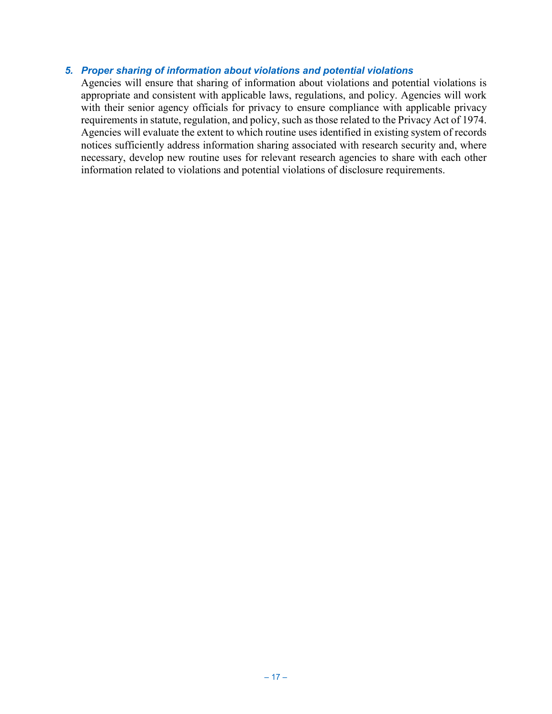## *5. Proper sharing of information about violations and potential violations*

<span id="page-26-0"></span>Agencies will ensure that sharing of information about violations and potential violations is appropriate and consistent with applicable laws, regulations, and policy. Agencies will work with their senior agency officials for privacy to ensure compliance with applicable privacy requirements in statute, regulation, and policy, such as those related to the Privacy Act of 1974. Agencies will evaluate the extent to which routine uses identified in existing system of records notices sufficiently address information sharing associated with research security and, where necessary, develop new routine uses for relevant research agencies to share with each other information related to violations and potential violations of disclosure requirements.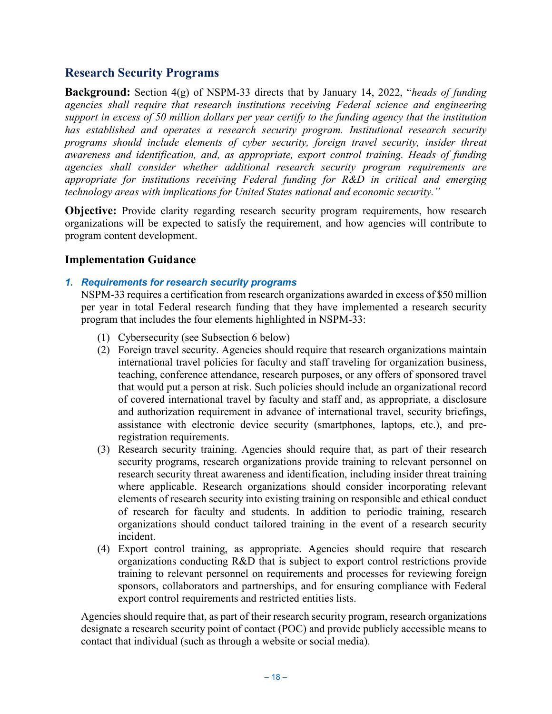## **Research Security Programs**

**Background:** Section 4(g) of NSPM-33 directs that by January 14, 2022, "*heads of funding agencies shall require that research institutions receiving Federal science and engineering support in excess of 50 million dollars per year certify to the funding agency that the institution has established and operates a research security program. Institutional research security programs should include elements of cyber security, foreign travel security, insider threat awareness and identification, and, as appropriate, export control training. Heads of funding agencies shall consider whether additional research security program requirements are appropriate for institutions receiving Federal funding for R&D in critical and emerging technology areas with implications for United States national and economic security."*

**Objective:** Provide clarity regarding research security program requirements, how research organizations will be expected to satisfy the requirement, and how agencies will contribute to program content development.

## **Implementation Guidance**

## *1. Requirements for research security programs*

NSPM-33 requires a certification from research organizations awarded in excess of \$50 million per year in total Federal research funding that they have implemented a research security program that includes the four elements highlighted in NSPM-33:

- (1) Cybersecurity (see Subsection 6 below)
- (2) Foreign travel security. Agencies should require that research organizations maintain international travel policies for faculty and staff traveling for organization business, teaching, conference attendance, research purposes, or any offers of sponsored travel that would put a person at risk. Such policies should include an organizational record of covered international travel by faculty and staff and, as appropriate, a disclosure and authorization requirement in advance of international travel, security briefings, assistance with electronic device security (smartphones, laptops, etc.), and preregistration requirements.
- (3) Research security training. Agencies should require that, as part of their research security programs, research organizations provide training to relevant personnel on research security threat awareness and identification, including insider threat training where applicable. Research organizations should consider incorporating relevant elements of research security into existing training on responsible and ethical conduct of research for faculty and students. In addition to periodic training, research organizations should conduct tailored training in the event of a research security incident.
- (4) Export control training, as appropriate. Agencies should require that research organizations conducting R&D that is subject to export control restrictions provide training to relevant personnel on requirements and processes for reviewing foreign sponsors, collaborators and partnerships, and for ensuring compliance with Federal export control requirements and restricted entities lists.

Agencies should require that, as part of their research security program, research organizations designate a research security point of contact (POC) and provide publicly accessible means to contact that individual (such as through a website or social media).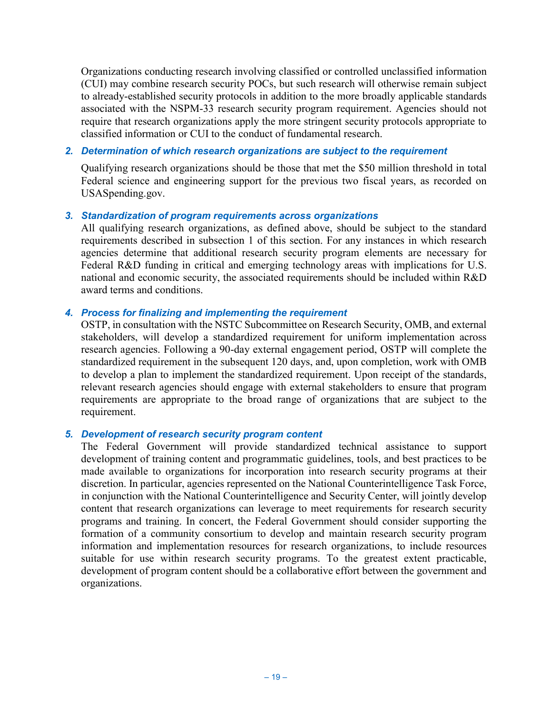Organizations conducting research involving classified or controlled unclassified information (CUI) may combine research security POCs, but such research will otherwise remain subject to already-established security protocols in addition to the more broadly applicable standards associated with the NSPM-33 research security program requirement. Agencies should not require that research organizations apply the more stringent security protocols appropriate to classified information or CUI to the conduct of fundamental research.

### *2. Determination of which research organizations are subject to the requirement*

Qualifying research organizations should be those that met the \$50 million threshold in total Federal science and engineering support for the previous two fiscal years, as recorded on USASpending.gov.

### *3. Standardization of program requirements across organizations*

All qualifying research organizations, as defined above, should be subject to the standard requirements described in subsection 1 of this section. For any instances in which research agencies determine that additional research security program elements are necessary for Federal R&D funding in critical and emerging technology areas with implications for U.S. national and economic security, the associated requirements should be included within R&D award terms and conditions.

### *4. Process for finalizing and implementing the requirement*

OSTP, in consultation with the NSTC Subcommittee on Research Security, OMB, and external stakeholders, will develop a standardized requirement for uniform implementation across research agencies. Following a 90-day external engagement period, OSTP will complete the standardized requirement in the subsequent 120 days, and, upon completion, work with OMB to develop a plan to implement the standardized requirement. Upon receipt of the standards, relevant research agencies should engage with external stakeholders to ensure that program requirements are appropriate to the broad range of organizations that are subject to the requirement.

### *5. Development of research security program content*

The Federal Government will provide standardized technical assistance to support development of training content and programmatic guidelines, tools, and best practices to be made available to organizations for incorporation into research security programs at their discretion. In particular, agencies represented on the National Counterintelligence Task Force, in conjunction with the National Counterintelligence and Security Center, will jointly develop content that research organizations can leverage to meet requirements for research security programs and training. In concert, the Federal Government should consider supporting the formation of a community consortium to develop and maintain research security program information and implementation resources for research organizations, to include resources suitable for use within research security programs. To the greatest extent practicable, development of program content should be a collaborative effort between the government and organizations.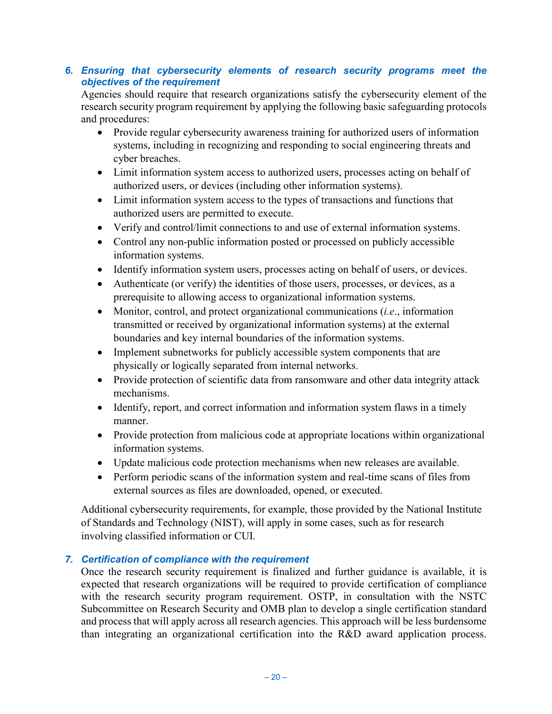## *6. Ensuring that cybersecurity elements of research security programs meet the objectives of the requirement*

Agencies should require that research organizations satisfy the cybersecurity element of the research security program requirement by applying the following basic safeguarding protocols and procedures:

- Provide regular cybersecurity awareness training for authorized users of information systems, including in recognizing and responding to social engineering threats and cyber breaches.
- Limit information system access to authorized users, processes acting on behalf of authorized users, or devices (including other information systems).
- Limit information system access to the types of transactions and functions that authorized users are permitted to execute.
- Verify and control/limit connections to and use of external information systems.
- Control any non-public information posted or processed on publicly accessible information systems.
- Identify information system users, processes acting on behalf of users, or devices.
- Authenticate (or verify) the identities of those users, processes, or devices, as a prerequisite to allowing access to organizational information systems.
- Monitor, control, and protect organizational communications (*i.e*., information transmitted or received by organizational information systems) at the external boundaries and key internal boundaries of the information systems.
- Implement subnetworks for publicly accessible system components that are physically or logically separated from internal networks.
- Provide protection of scientific data from ransomware and other data integrity attack mechanisms.
- Identify, report, and correct information and information system flaws in a timely manner.
- Provide protection from malicious code at appropriate locations within organizational information systems.
- Update malicious code protection mechanisms when new releases are available.
- Perform periodic scans of the information system and real-time scans of files from external sources as files are downloaded, opened, or executed.

Additional cybersecurity requirements, for example, those provided by the National Institute of Standards and Technology (NIST), will apply in some cases, such as for research involving classified information or CUI.

## *7. Certification of compliance with the requirement*

Once the research security requirement is finalized and further guidance is available, it is expected that research organizations will be required to provide certification of compliance with the research security program requirement. OSTP, in consultation with the NSTC Subcommittee on Research Security and OMB plan to develop a single certification standard and process that will apply across all research agencies. This approach will be less burdensome than integrating an organizational certification into the R&D award application process.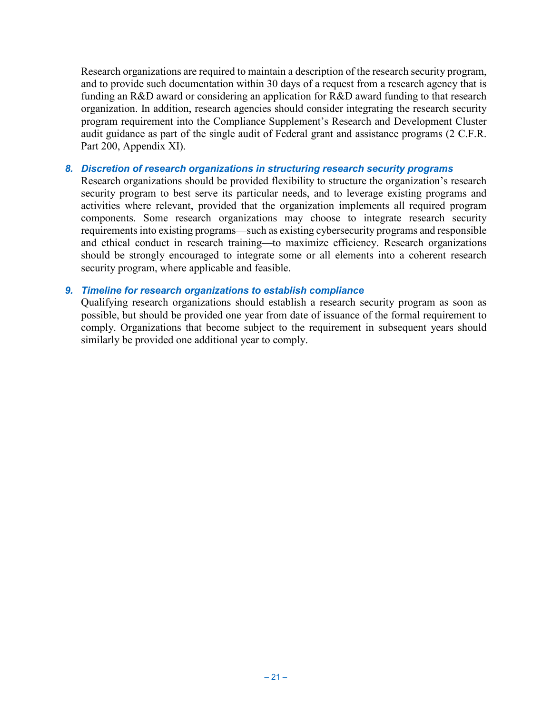Research organizations are required to maintain a description of the research security program, and to provide such documentation within 30 days of a request from a research agency that is funding an R&D award or considering an application for R&D award funding to that research organization. In addition, research agencies should consider integrating the research security program requirement into the Compliance Supplement's Research and Development Cluster audit guidance as part of the single audit of Federal grant and assistance programs (2 C.F.R. Part 200, Appendix XI).

### *8. Discretion of research organizations in structuring research security programs*

Research organizations should be provided flexibility to structure the organization's research security program to best serve its particular needs, and to leverage existing programs and activities where relevant, provided that the organization implements all required program components. Some research organizations may choose to integrate research security requirements into existing programs—such as existing cybersecurity programs and responsible and ethical conduct in research training—to maximize efficiency. Research organizations should be strongly encouraged to integrate some or all elements into a coherent research security program, where applicable and feasible.

### *9. Timeline for research organizations to establish compliance*

Qualifying research organizations should establish a research security program as soon as possible, but should be provided one year from date of issuance of the formal requirement to comply. Organizations that become subject to the requirement in subsequent years should similarly be provided one additional year to comply.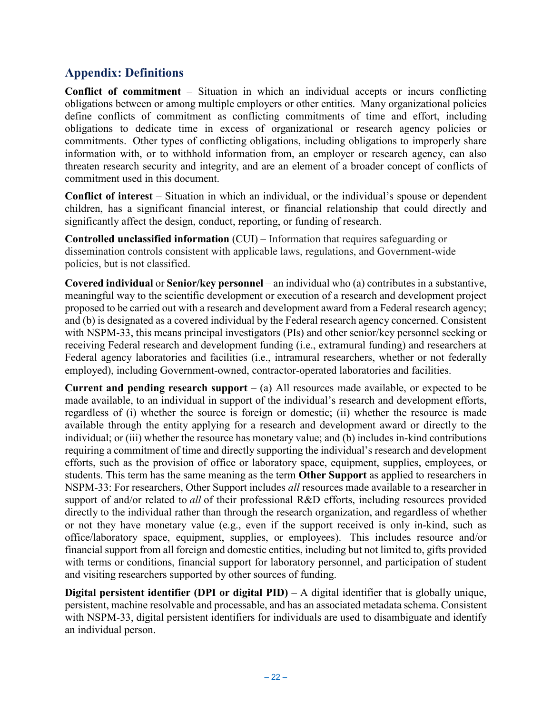## <span id="page-31-0"></span>**Appendix: Definitions**

**Conflict of commitment** – Situation in which an individual accepts or incurs conflicting obligations between or among multiple employers or other entities. Many organizational policies define conflicts of commitment as conflicting commitments of time and effort, including obligations to dedicate time in excess of organizational or research agency policies or commitments. Other types of conflicting obligations, including obligations to improperly share information with, or to withhold information from, an employer or research agency, can also threaten research security and integrity, and are an element of a broader concept of conflicts of commitment used in this document.

**Conflict of interest** – Situation in which an individual, or the individual's spouse or dependent children, has a significant financial interest, or financial relationship that could directly and significantly affect the design, conduct, reporting, or funding of research.

**Controlled unclassified information** (CUI) – Information that requires safeguarding or dissemination controls consistent with applicable laws, regulations, and Government-wide policies, but is not classified.

**Covered individual** or **Senior/key personnel** – an individual who (a) contributes in a substantive, meaningful way to the scientific development or execution of a research and development project proposed to be carried out with a research and development award from a Federal research agency; and (b) is designated as a covered individual by the Federal research agency concerned. Consistent with NSPM-33, this means principal investigators (PIs) and other senior/key personnel seeking or receiving Federal research and development funding (i.e., extramural funding) and researchers at Federal agency laboratories and facilities (i.e., intramural researchers, whether or not federally employed), including Government-owned, contractor-operated laboratories and facilities.

**Current and pending research support** – (a) All resources made available, or expected to be made available, to an individual in support of the individual's research and development efforts, regardless of (i) whether the source is foreign or domestic; (ii) whether the resource is made available through the entity applying for a research and development award or directly to the individual; or (iii) whether the resource has monetary value; and (b) includes in-kind contributions requiring a commitment of time and directly supporting the individual's research and development efforts, such as the provision of office or laboratory space, equipment, supplies, employees, or students. This term has the same meaning as the term **Other Support** as applied to researchers in NSPM-33: For researchers, Other Support includes *all* resources made available to a researcher in support of and/or related to *all* of their professional R&D efforts, including resources provided directly to the individual rather than through the research organization, and regardless of whether or not they have monetary value (e.g., even if the support received is only in-kind, such as office/laboratory space, equipment, supplies, or employees). This includes resource and/or financial support from all foreign and domestic entities, including but not limited to, gifts provided with terms or conditions, financial support for laboratory personnel, and participation of student and visiting researchers supported by other sources of funding.

**Digital persistent identifier (DPI or digital PID)** – A digital identifier that is globally unique, persistent, machine resolvable and processable, and has an associated metadata schema. Consistent with NSPM-33, digital persistent identifiers for individuals are used to disambiguate and identify an individual person.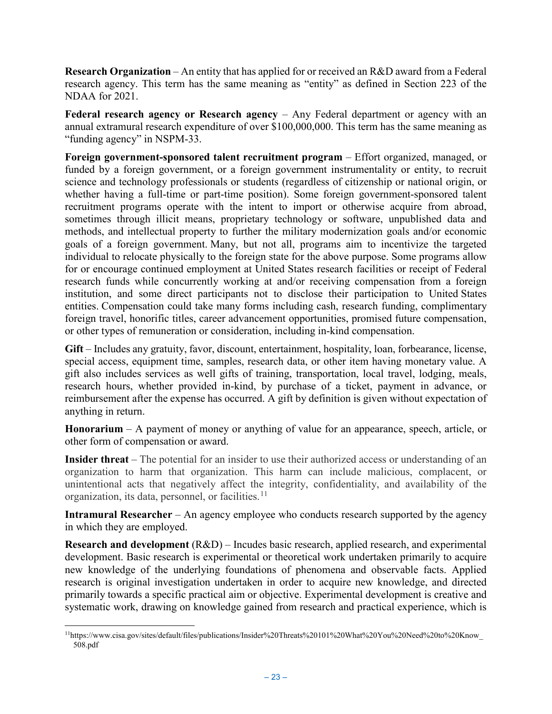**Research Organization** – An entity that has applied for or received an R&D award from a Federal research agency. This term has the same meaning as "entity" as defined in Section 223 of the NDAA for 2021.

**Federal research agency or Research agency** – Any Federal department or agency with an annual extramural research expenditure of over \$100,000,000. This term has the same meaning as "funding agency" in NSPM-33.

**Foreign government-sponsored talent recruitment program** – Effort organized, managed, or funded by a foreign government, or a foreign government instrumentality or entity, to recruit science and technology professionals or students (regardless of citizenship or national origin, or whether having a full-time or part-time position). Some foreign government-sponsored talent recruitment programs operate with the intent to import or otherwise acquire from abroad, sometimes through illicit means, proprietary technology or software, unpublished data and methods, and intellectual property to further the military modernization goals and/or economic goals of a foreign government. Many, but not all, programs aim to incentivize the targeted individual to relocate physically to the foreign state for the above purpose. Some programs allow for or encourage continued employment at United States research facilities or receipt of Federal research funds while concurrently working at and/or receiving compensation from a foreign institution, and some direct participants not to disclose their participation to United States entities. Compensation could take many forms including cash, research funding, complimentary foreign travel, honorific titles, career advancement opportunities, promised future compensation, or other types of remuneration or consideration, including in-kind compensation.

**Gift** – Includes any gratuity, favor, discount, entertainment, hospitality, loan, forbearance, license, special access, equipment time, samples, research data, or other item having monetary value. A gift also includes services as well gifts of training, transportation, local travel, lodging, meals, research hours, whether provided in-kind, by purchase of a ticket, payment in advance, or reimbursement after the expense has occurred. A gift by definition is given without expectation of anything in return.

**Honorarium** – A payment of money or anything of value for an appearance, speech, article, or other form of compensation or award.

**Insider threat** – The potential for an insider to use their authorized access or understanding of an organization to harm that organization. This harm can include malicious, complacent, or unintentional acts that negatively affect the integrity, confidentiality, and availability of the organization, its data, personnel, or facilities.<sup>[11](#page-32-0)</sup>

**Intramural Researcher** – An agency employee who conducts research supported by the agency in which they are employed.

**Research and development** (R&D) – Incudes basic research, applied research, and experimental development. Basic research is experimental or theoretical work undertaken primarily to acquire new knowledge of the underlying foundations of phenomena and observable facts. Applied research is original investigation undertaken in order to acquire new knowledge, and directed primarily towards a specific practical aim or objective. Experimental development is creative and systematic work, drawing on knowledge gained from research and practical experience, which is

<span id="page-32-0"></span> <sup>11</sup>https://www.cisa.gov/sites/default/files/publications/Insider%20Threats%20101%20What%20You%20Need%20to%20Know\_ 508.pdf